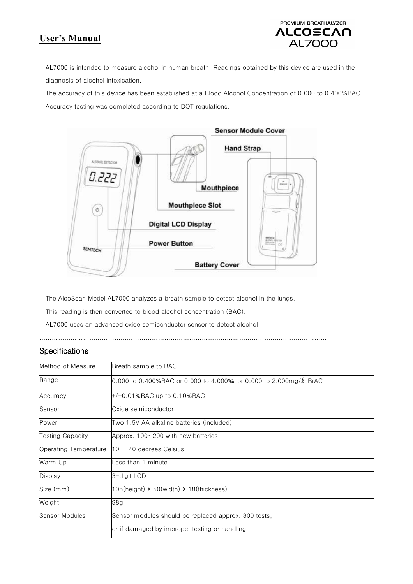# **User's Manual**

## PREMIUM BREATHALYZER VLCOZCVU **AL7000**

AL7000 is intended to measure alcohol in human breath. Readings obtained by this device are used in the diagnosis of alcohol intoxication.

The accuracy of this device has been established at a Blood Alcohol Concentration of 0.000 to 0.400%BAC. Accuracy testing was completed according to DOT regulations.



The AlcoScan Model AL7000 analyzes a breath sample to detect alcohol in the lungs.

This reading is then converted to blood alcohol concentration (BAC).

AL7000 uses an advanced oxide semiconductor sensor to detect alcohol.

…………………………………………………………………………………………………………………………

#### **Specifications**

| Method of Measure       | Breath sample to BAC                                                   |
|-------------------------|------------------------------------------------------------------------|
| Range                   | 0.000 to 0.400%BAC or 0.000 to 4.000% or 0.000 to 2.000mg/ $\ell$ BrAC |
| Accuracy                | $+/-0.01\%$ BAC up to 0.10%BAC                                         |
| Sensor                  | Oxide semiconductor                                                    |
| Power                   | Two 1.5V AA alkaline batteries (included)                              |
| <b>Testing Capacity</b> | Approx. 100~200 with new batteries                                     |
| Operating Temperature   | $10 - 40$ degrees Celsius                                              |
| Warm Up                 | ess than 1 minute_                                                     |
| <b>Display</b>          | 3-digit LCD                                                            |
| Size (mm)               | $105$ (height) X 50(width) X 18(thickness)                             |
| Weight                  | 98g                                                                    |
| Sensor Modules          | Sensor modules should be replaced approx. 300 tests,                   |
|                         | or if damaged by improper testing or handling                          |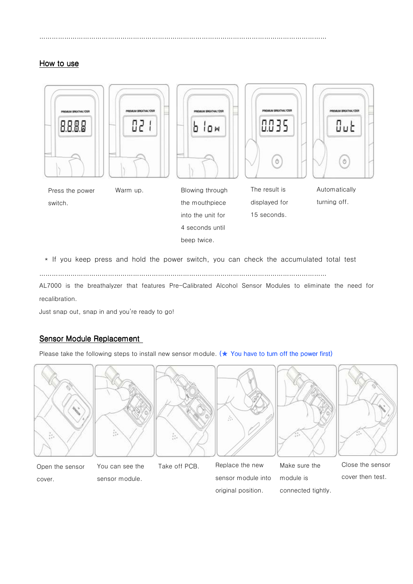#### How to use



\* If you keep press and hold the power switch, you can check the accumulated total test

beep twice.

…………………………………………………………………………………………………………………………

…………………………………………………………………………………………………………………………

AL7000 is the breathalyzer that features Pre-Calibrated Alcohol Sensor Modules to eliminate the need for recalibration.

Just snap out, snap in and you're ready to go!

#### Sensor Module Replacement

Please take the following steps to install new sensor module. ( $\star$  You have to turn off the power first)



Open the sensor cover.

You can see the

sensor module.

Take off PCB. Replace the new sensor module into original position.

Make sure the module is connected tightly. Close the sensor cover then test.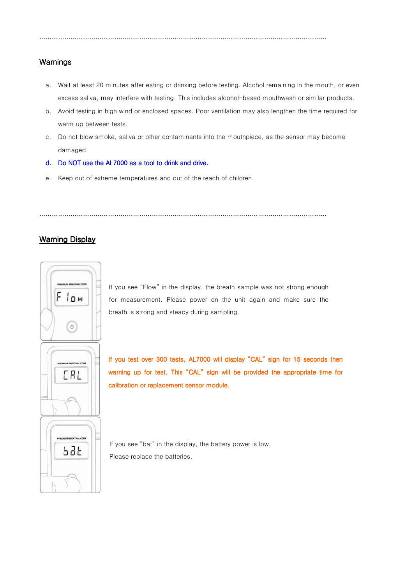…………………………………………………………………………………………………………………………

#### Warnings

- a. Wait at least 20 minutes after eating or drinking before testing. Alcohol remaining in the mouth, or even excess saliva, may interfere with testing. This includes alcohol-based mouthwash or similar products.
- b. Avoid testing in high wind or enclosed spaces. Poor ventilation may also lengthen the time required for warm up between tests.
- c. Do not blow smoke, saliva or other contaminants into the mouthpiece, as the sensor may become damaged.
- d. Do NOT use the AL7000 as a tool to drink and drive.
- e. Keep out of extreme temperatures and out of the reach of children.

…………………………………………………………………………………………………………………………

#### Warning Display



If you see "Flow" in the display, the breath sample was not strong enough for measurement. Please power on the unit again and make sure the breath is strong and steady during sampling.



l

If you test over 300 tests, AL7000 will display "CAL" sign for 15 seconds then warning up for test. This "CAL" sign will be provided the appropriate time for calibration or replacement sensor module.

If you see "bat" in the display, the battery power is low. Please replace the batteries.